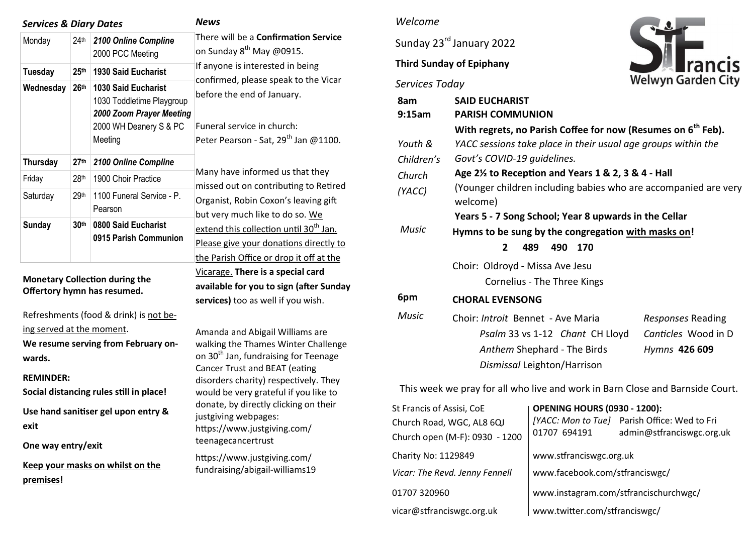| <b>Services &amp; Diary Dates</b> |                  |                                                                                                                          | News                                                                                                                                                                                                                                                                            |  |
|-----------------------------------|------------------|--------------------------------------------------------------------------------------------------------------------------|---------------------------------------------------------------------------------------------------------------------------------------------------------------------------------------------------------------------------------------------------------------------------------|--|
| Monday                            | 24 <sup>th</sup> | 2100 Online Compline<br>2000 PCC Meeting                                                                                 | There will be a <b>Confirmation Service</b><br>on Sunday 8 <sup>th</sup> May @0915.<br>If anyone is interested in being<br>confirmed, please speak to the Vicar<br>before the end of January.<br>Funeral service in church:<br>Peter Pearson - Sat, 29 <sup>th</sup> Jan @1100. |  |
| <b>Tuesday</b>                    | 25 <sup>th</sup> | <b>1930 Said Eucharist</b>                                                                                               |                                                                                                                                                                                                                                                                                 |  |
| Wednesday                         | 26 <sup>th</sup> | <b>1030 Said Eucharist</b><br>1030 Toddletime Playgroup<br>2000 Zoom Prayer Meeting<br>2000 WH Deanery S & PC<br>Meeting |                                                                                                                                                                                                                                                                                 |  |
| <b>Thursday</b>                   | 27 <sup>th</sup> | 2100 Online Compline                                                                                                     | Many have informed us that they<br>missed out on contributing to Retired<br>Organist, Robin Coxon's leaving gift<br>but very much like to do so. We                                                                                                                             |  |
| Friday                            | 28 <sup>th</sup> | 1900 Choir Practice                                                                                                      |                                                                                                                                                                                                                                                                                 |  |
| Saturday                          | 29 <sup>th</sup> | 1100 Funeral Service - P.<br>Pearson                                                                                     |                                                                                                                                                                                                                                                                                 |  |
| Sunday                            | 30 <sup>th</sup> | 0800 Said Eucharist<br>0915 Parish Communion                                                                             | extend this collection until 30 <sup>th</sup> Jan.<br>Please give your donations directly to<br>the Parish Office or drop it off at the                                                                                                                                         |  |

### **Monetary Collection during the Offertory hymn has resumed.**

Refreshments (food & drink) is not being served at the moment. **We resume serving from February onwards.**

**REMINDER:** 

**Social distancing rules still in place!** 

**Use hand sanitiser gel upon entry & exit**

**One way entry/exit**

**Keep your masks on whilst on the premises!** 

## *Welcome*

Sunday 23<sup>rd</sup> January 2022

### **Third Sunday of Epiphany**

# *Services Today*



| 8am<br>9:15am | <b>SAID EUCHARIST</b><br><b>PARISH COMMUNION</b>                            |                     |  |  |  |
|---------------|-----------------------------------------------------------------------------|---------------------|--|--|--|
|               | With regrets, no Parish Coffee for now (Resumes on 6 <sup>th</sup> Feb).    |                     |  |  |  |
| Youth &       | YACC sessions take place in their usual age groups within the               |                     |  |  |  |
| Children's    | Govt's COVID-19 quidelines.                                                 |                     |  |  |  |
| Church        | Age 2 <sup>1/2</sup> to Reception and Years 1 & 2, 3 & 4 - Hall             |                     |  |  |  |
| (YACC)        | (Younger children including babies who are accompanied are very<br>welcome) |                     |  |  |  |
|               | Years 5 - 7 Song School; Year 8 upwards in the Cellar                       |                     |  |  |  |
| Music         | Hymns to be sung by the congregation with masks on!                         |                     |  |  |  |
|               | $\mathbf{2}$<br>489<br>490<br>170                                           |                     |  |  |  |
|               | Choir: Oldroyd - Missa Ave Jesu                                             |                     |  |  |  |
|               | Cornelius - The Three Kings                                                 |                     |  |  |  |
| 6pm           | <b>CHORAL EVENSONG</b>                                                      |                     |  |  |  |
| Music         | Choir: <i>Introit</i> Bennet - Ave Maria                                    | Responses Reading   |  |  |  |
|               | Psalm 33 vs 1-12 Chant CH Lloyd                                             | Canticles Wood in D |  |  |  |
|               | Anthem Shephard - The Birds                                                 | Hymns 426 609       |  |  |  |
|               | Dismissal Leighton/Harrison                                                 |                     |  |  |  |

This week we pray for all who live and work in Barn Close and Barnside Court.

| St Francis of Assisi, CoE      | <b>OPENING HOURS (0930 - 1200):</b>   |                                              |  |
|--------------------------------|---------------------------------------|----------------------------------------------|--|
| Church Road, WGC, AL8 6QJ      |                                       | [YACC: Mon to Tue] Parish Office: Wed to Fri |  |
| Church open (M-F): 0930 - 1200 | 01707 694191                          | admin@stfranciswgc.org.uk                    |  |
| Charity No: 1129849            | www.stfranciswgc.org.uk               |                                              |  |
| Vicar: The Revd. Jenny Fennell | www.facebook.com/stfranciswgc/        |                                              |  |
| 01707 320960                   | www.instagram.com/stfrancischurchwgc/ |                                              |  |
| vicar@stfranciswgc.org.uk      | www.twitter.com/stfranciswgc/         |                                              |  |

Vicarage. **There is a special card available for you to sign (after Sunday services)** too as well if you wish. Amanda and Abigail Williams are walking the Thames Winter Challenge on 30<sup>th</sup> Jan, fundraising for Teenage Cancer Trust and BEAT (eating

disorders charity) respectively. They would be very grateful if you like to donate, by directly clicking on their justgiving webpages: https://www.justgiving.com/ teenagecancertrust

[https://www.justgiving.com/](https://www.justgiving.com/fundraising/abigail-williams19?utm_source=Sharethis&utm_medium=fundraising&utm_content=abigail-williams19&utm_campaign=pfp-email&utm_term=95bcc4fa511f4f78b066cfe3a9a9e6fd) [fundraising/abigail](https://www.justgiving.com/fundraising/abigail-williams19?utm_source=Sharethis&utm_medium=fundraising&utm_content=abigail-williams19&utm_campaign=pfp-email&utm_term=95bcc4fa511f4f78b066cfe3a9a9e6fd)-williams19